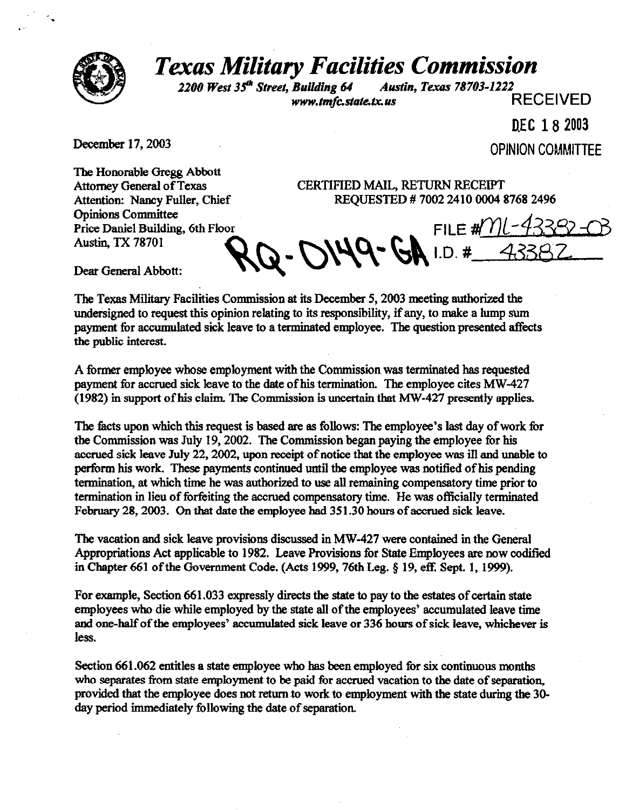

## *Texas Military Facilities Commission*

<sup>2200</sup> West 35<sup>th</sup> Street, Building 64 Austin, Texas 78703-1222<br>www.tmfc.state.tx.us<br>RECEIVED www.tmfc.state.tx.us

D.EC 18 2003

Deeember 17,2003 **OPINION COMMITTEE** 

The Honorable Gregg Abbott Attorney General of Texas Attention: Nancy Fuller, Chief **Opinions Committee** Price Daniel Building, 6th Floor Austin TX 78701

CERTIFIED MAIL, RETURN RECEIPT REQUESTED # 7002 2410 0004 8768 2496

 $MQ$ -GA I.D.#

FILE  $\# \mathcal{W}$ l-4

Dear General Abbott:

The Texas Military Facilities Commission at its December 5,2003 meeting authorized the undersigned to request this opinion relating to its responsibility, if any, to make a lump sum payment for accumulated sick leave to a terminated employee. The question presented affects the public interest.

A former employee whose employment with the Commission was terminated has requested payment for accrued sick leave to the date of his termination. The employee cites MW-427  $(1982)$  in support of his claim. The Commission is uncertain that MW-427 presently applies.

The facts upon which this request is based are as follows: The employee's last day of work for the Commission was July 19,2002. The Commission began paying the employee for his accrued sick leave July 22, 2002, upon receipt of notice that the employee was ill and unable to perform his work. These payments continued until the employee was notified of his pending termination, at which time he was authorized to use all remaining compensatory time prior to termination in lieu of forfeiting the accrued compensatory time. He was officially terminated February 28,2003. On that date the employee had 351.30 hours of accrued sick leave.

The vacation and sick leave provisions discussed in MW-427 were contained in the General Appropriations Act applicable to 1982. Leave Provisions for State Employees are now codified in Chapter 661 of the Government Code. (Acts 1999, 76th Leg. § 19, eff. Sept. 1, 1999).

For example, Section 661.033 expressly directs the state to pay to the estates of certain state employees who die while employed by the state all of the employees' accumulated leave time and one-half of the employees' accumulated sick leave or 336 hours of sick leave, whichever is less.

Section 661.062 entitles a state employee who has been employed for six continuous months who separates from state employment to be paid for accrued vacation to the date of separation, provided that the employee does not return to work to employment with the state during the 30day period immediately following the date of separation,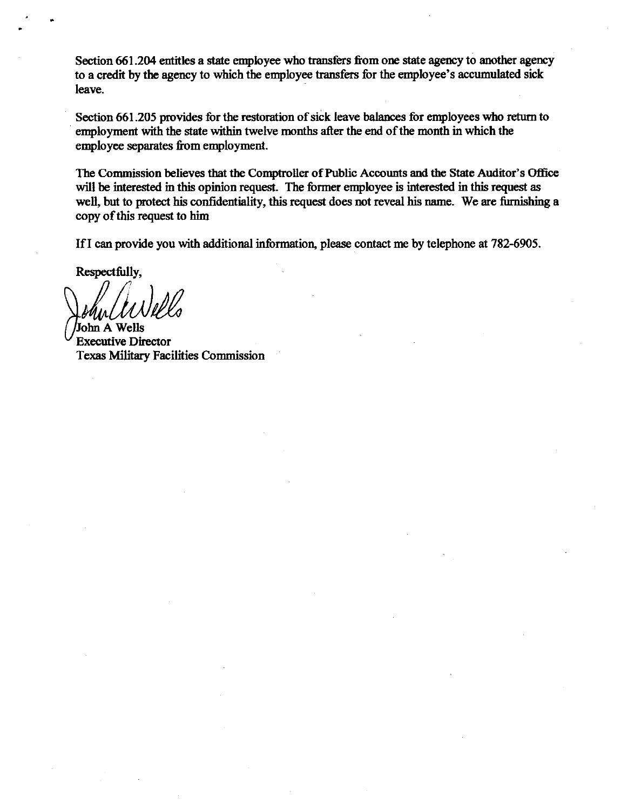Section 661.204 entitles a state employee who transfers from one state agency to another agency to a credit by the agency to which the employee transfers for the employee's accumulated sick leave.

Section 661.205 provides for the restoration of sick leave balances for employees who return to employment with the state within twelve months after the end of the month in which the employee separates from employment.

The Commission believes that the Comptroller of Public Accounts and the State Auditor's Office will be interested in this opinion request. The former employee is interested in this request as well, but to protect his confidentiality, this request does not reveal his name. We are furnishing a copy of this request to him

If I can provide you with additional information, please contact me by telephone at 782-6905.

Respectfully,

John A Wells **Executive Director** Texas Military Facilities Commission